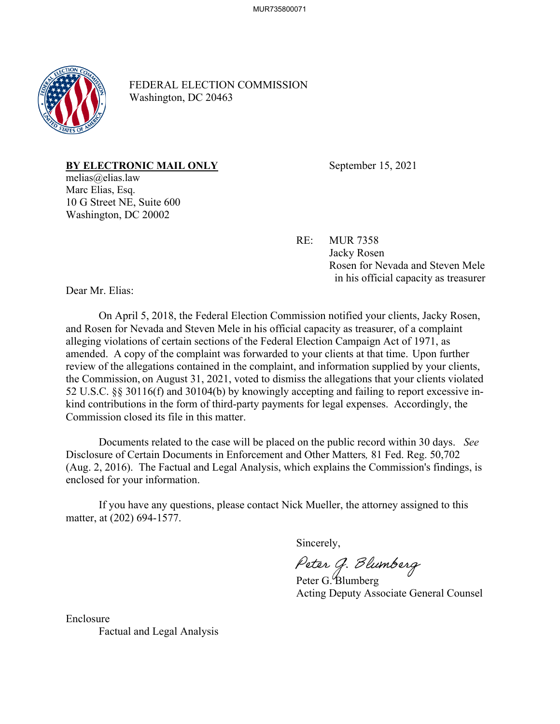

FEDERAL ELECTION COMMISSION Washington, DC 20463

**BY ELECTRONIC MAIL ONLY** September 15, 2021

melias@elias.law Marc Elias, Esq. 10 G Street NE, Suite 600 Washington, DC 20002

RE: MUR 7358

Jacky Rosen Rosen for Nevada and Steven Mele in his official capacity as treasurer

Dear Mr. Elias:

On April 5, 2018, the Federal Election Commission notified your clients, Jacky Rosen, and Rosen for Nevada and Steven Mele in his official capacity as treasurer, of a complaint alleging violations of certain sections of the Federal Election Campaign Act of 1971, as amended. A copy of the complaint was forwarded to your clients at that time. Upon further review of the allegations contained in the complaint, and information supplied by your clients, the Commission, on August 31, 2021, voted to dismiss the allegations that your clients violated 52 U.S.C. §§ 30116(f) and 30104(b) by knowingly accepting and failing to report excessive inkind contributions in the form of third-party payments for legal expenses. Accordingly, the Commission closed its file in this matter.

Documents related to the case will be placed on the public record within 30 days. *See* Disclosure of Certain Documents in Enforcement and Other Matters*,* 81 Fed. Reg. 50,702 (Aug. 2, 2016). The Factual and Legal Analysis, which explains the Commission's findings, is enclosed for your information.

If you have any questions, please contact Nick Mueller, the attorney assigned to this matter, at (202) 694-1577.

Sincerely,

Peter G. Blumberg<br>Peter G. Blumberg

Acting Deputy Associate General Counsel

Enclosure Factual and Legal Analysis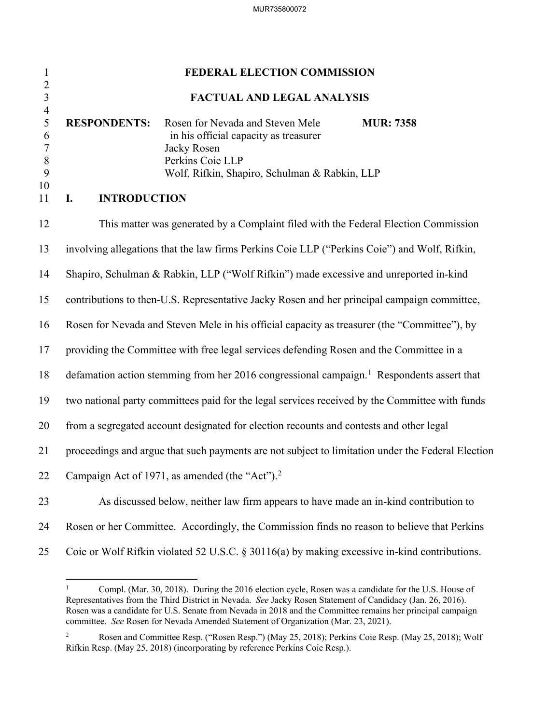| $\mathbf{1}$                                                          | FEDERAL ELECTION COMMISSION                                                                                                                                                                                                           |  |
|-----------------------------------------------------------------------|---------------------------------------------------------------------------------------------------------------------------------------------------------------------------------------------------------------------------------------|--|
| $\frac{2}{3}$                                                         | FACTUAL AND LEGAL ANALYSIS                                                                                                                                                                                                            |  |
| $\overline{4}$<br>5<br>6<br>$\overline{7}$<br>$\, 8$<br>9<br>10<br>11 | <b>RESPONDENTS:</b><br>Rosen for Nevada and Steven Mele<br><b>MUR: 7358</b><br>in his official capacity as treasurer<br>Jacky Rosen<br>Perkins Coie LLP<br>Wolf, Rifkin, Shapiro, Schulman & Rabkin, LLP<br><b>INTRODUCTION</b><br>I. |  |
|                                                                       |                                                                                                                                                                                                                                       |  |
| 12                                                                    | This matter was generated by a Complaint filed with the Federal Election Commission                                                                                                                                                   |  |
| 13                                                                    | involving allegations that the law firms Perkins Coie LLP ("Perkins Coie") and Wolf, Rifkin,                                                                                                                                          |  |
| 14                                                                    | Shapiro, Schulman & Rabkin, LLP ("Wolf Rifkin") made excessive and unreported in-kind                                                                                                                                                 |  |
| 15                                                                    | contributions to then-U.S. Representative Jacky Rosen and her principal campaign committee,                                                                                                                                           |  |
| 16                                                                    | Rosen for Nevada and Steven Mele in his official capacity as treasurer (the "Committee"), by                                                                                                                                          |  |
| 17                                                                    | providing the Committee with free legal services defending Rosen and the Committee in a                                                                                                                                               |  |
| 18                                                                    | defamation action stemming from her 2016 congressional campaign. <sup>1</sup> Respondents assert that                                                                                                                                 |  |
| 19                                                                    | two national party committees paid for the legal services received by the Committee with funds                                                                                                                                        |  |
| 20                                                                    | from a segregated account designated for election recounts and contests and other legal                                                                                                                                               |  |
| 21                                                                    | proceedings and argue that such payments are not subject to limitation under the Federal Election                                                                                                                                     |  |
| 22                                                                    | Campaign Act of 1971, as amended (the "Act"). $2$                                                                                                                                                                                     |  |
| 23                                                                    | As discussed below, neither law firm appears to have made an in-kind contribution to                                                                                                                                                  |  |
| 24                                                                    | Rosen or her Committee. Accordingly, the Commission finds no reason to believe that Perkins                                                                                                                                           |  |
| 25                                                                    | Coie or Wolf Rifkin violated 52 U.S.C. § 30116(a) by making excessive in-kind contributions.                                                                                                                                          |  |

<span id="page-1-0"></span><sup>1</sup> Compl. (Mar. 30, 2018). During the 2016 election cycle, Rosen was a candidate for the U.S. House of Representatives from the Third District in Nevada. *See* Jacky Rosen Statement of Candidacy (Jan. 26, 2016). Rosen was a candidate for U.S. Senate from Nevada in 2018 and the Committee remains her principal campaign committee. *See* Rosen for Nevada Amended Statement of Organization (Mar. 23, 2021).

<span id="page-1-1"></span><sup>2</sup> Rosen and Committee Resp. ("Rosen Resp.") (May 25, 2018); Perkins Coie Resp. (May 25, 2018); Wolf Rifkin Resp. (May 25, 2018) (incorporating by reference Perkins Coie Resp.).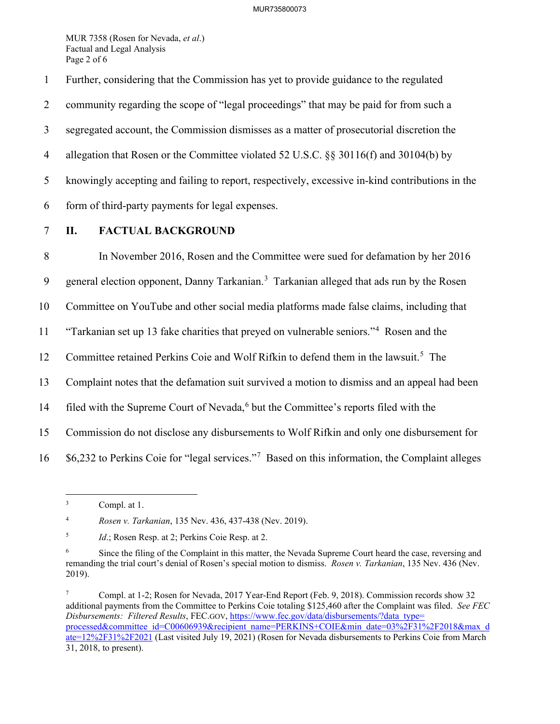MUR 7358 (Rosen for Nevada, *et al*.) Factual and Legal Analysis Page 2 of 6

1 Further, considering that the Commission has yet to provide guidance to the regulated

2 community regarding the scope of "legal proceedings" that may be paid for from such a

3 segregated account, the Commission dismisses as a matter of prosecutorial discretion the

4 allegation that Rosen or the Committee violated 52 U.S.C. §§ 30116(f) and 30104(b) by

5 knowingly accepting and failing to report, respectively, excessive in-kind contributions in the

6 form of third-party payments for legal expenses.

## 7 **II. FACTUAL BACKGROUND**

8 In November 2016, Rosen and the Committee were sued for defamation by her 2016 9 general election opponent, Danny Tarkanian.<sup>[3](#page-2-0)</sup> Tarkanian alleged that ads run by the Rosen 10 Committee on YouTube and other social media platforms made false claims, including that <sup>11</sup> "Tarkanian set up 13 fake charities that preyed on vulnerable seniors."<sup>4</sup> Rosen and the 12 Committee retained Perkins Coie and Wolf Rifkin to defend them in the lawsuit.<sup>[5](#page-2-2)</sup> The 13 Complaint notes that the defamation suit survived a motion to dismiss and an appeal had been 14 filed with the Supreme Court of Nevada,<sup>[6](#page-2-3)</sup> but the Committee's reports filed with the 15 Commission do not disclose any disbursements to Wolf Rifkin and only one disbursement for  $16$  \$6,232 to Perkins Coie for "legal services."<sup>[7](#page-2-4)</sup> Based on this information, the Complaint alleges

<span id="page-2-1"></span>4 *Rosen v. Tarkanian*, 135 Nev. 436, 437-438 (Nev. 2019).

<span id="page-2-0"></span><sup>3</sup> Compl. at 1.

<span id="page-2-2"></span><sup>5</sup> *Id.*; Rosen Resp. at 2; Perkins Coie Resp. at 2.

<span id="page-2-3"></span><sup>6</sup> Since the filing of the Complaint in this matter, the Nevada Supreme Court heard the case, reversing and remanding the trial court's denial of Rosen's special motion to dismiss. *Rosen v. Tarkanian*, 135 Nev. 436 (Nev. 2019).

<span id="page-2-4"></span><sup>7</sup> Compl. at 1-2; Rosen for Nevada, 2017 Year-End Report (Feb. 9, 2018). Commission records show 32 additional payments from the Committee to Perkins Coie totaling \$125,460 after the Complaint was filed. *See FEC Disbursements: Filtered Results*, FEC.GOV[, https://www.fec.gov/data/disbursements/?data\\_type=](https://www.fec.gov/data/disbursements/?data_type=%E2%80%8Cprocessed&committee_id=C00606939&recipient_name=PERKINS+COIE&min_date=03%2F31%2F2018&max_date=12%2F31%2F2021) [processed&committee\\_id=C00606939&recipient\\_name=PERKINS+COIE&min\\_date=03%2F31%2F2018&max\\_d](https://www.fec.gov/data/disbursements/?data_type=%E2%80%8Cprocessed&committee_id=C00606939&recipient_name=PERKINS+COIE&min_date=03%2F31%2F2018&max_date=12%2F31%2F2021) [ate=12%2F31%2F2021](https://www.fec.gov/data/disbursements/?data_type=%E2%80%8Cprocessed&committee_id=C00606939&recipient_name=PERKINS+COIE&min_date=03%2F31%2F2018&max_date=12%2F31%2F2021) (Last visited July 19, 2021) (Rosen for Nevada disbursements to Perkins Coie from March 31, 2018, to present).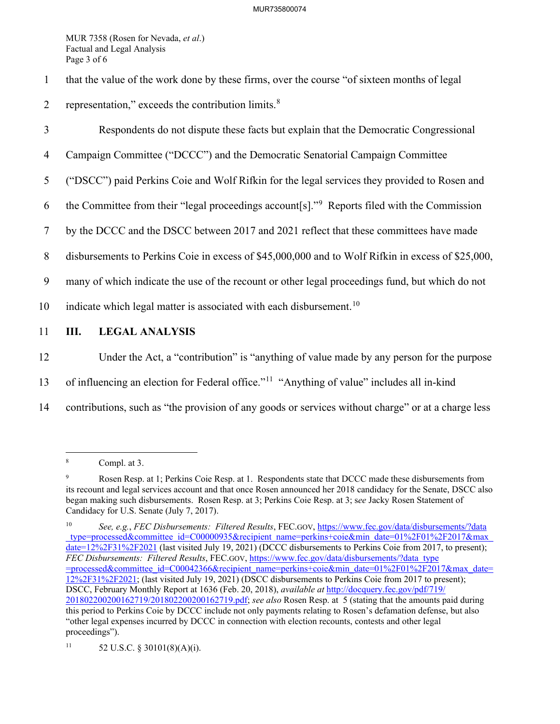MUR 7358 (Rosen for Nevada, *et al*.) Factual and Legal Analysis Page 3 of 6

- 1 that the value of the work done by these firms, over the course "of sixteen months of legal
- 2 representation," exceeds the contribution limits. $8 \times 10^{-10}$  $8 \times 10^{-10}$
- 3 Respondents do not dispute these facts but explain that the Democratic Congressional
- 4 Campaign Committee ("DCCC") and the Democratic Senatorial Campaign Committee
- 5 ("DSCC") paid Perkins Coie and Wolf Rifkin for the legal services they provided to Rosen and
- 6 the Committee from their "legal proceedings account  $[s]$ ." Reports filed with the Commission
- 7 by the DCCC and the DSCC between 2017 and 2021 reflect that these committees have made
- 8 disbursements to Perkins Coie in excess of \$45,000,000 and to Wolf Rifkin in excess of \$25,000,
- 9 many of which indicate the use of the recount or other legal proceedings fund, but which do not
- [10](#page-3-2) indicate which legal matter is associated with each disbursement.<sup>10</sup>
- 11 **III. LEGAL ANALYSIS**
- 12 Under the Act, a "contribution" is "anything of value made by any person for the purpose
- 13 of influencing an election for Federal office."<sup>[11](#page-3-3)</sup> "Anything of value" includes all in-kind
- 14 contributions, such as "the provision of any goods or services without charge" or at a charge less

<span id="page-3-0"></span><sup>8</sup> Compl. at 3.

<span id="page-3-1"></span><sup>9</sup> Rosen Resp. at 1; Perkins Coie Resp. at 1. Respondents state that DCCC made these disbursements from its recount and legal services account and that once Rosen announced her 2018 candidacy for the Senate, DSCC also began making such disbursements. Rosen Resp. at 3; Perkins Coie Resp. at 3; s*ee* Jacky Rosen Statement of Candidacy for U.S. Senate (July 7, 2017).

<span id="page-3-2"></span><sup>10</sup> *See, e.g.*, *FEC Disbursements: Filtered Results*, FEC.GOV, https://www.fec.gov/data/disbursements/?data \_type=processed&committee\_id=C00000935&recipient\_name=perkins+coie&min\_date=01%2F01%2F2017&max\_ date=12%2F31%2F2021 (last visited July 19, 2021) (DCCC disbursements to Perkins Coie from 2017, to present); *FEC Disbursements: Filtered Results*, FEC.GOV, https://www.fec.gov/data/disbursements/?data\_type =processed&committee\_id=C00042366&recipient\_name=perkins+coie&min\_date=01%2F01%2F2017&max\_date= 12%2F31%2F2021; (last visited July 19, 2021) (DSCC disbursements to Perkins Coie from 2017 to present); DSCC, February Monthly Report at 1636 (Feb. 20, 2018), *available at* [http://docquery.fec.gov/pdf/719/](http://docquery.fec.gov/pdf/719/201802200200162719%E2%80%8C/201802200200162719.pdf) [201802200200162719/201802200200162719.pdf;](http://docquery.fec.gov/pdf/719/201802200200162719%E2%80%8C/201802200200162719.pdf) *see also* Rosen Resp. at 5 (stating that the amounts paid during this period to Perkins Coie by DCCC include not only payments relating to Rosen's defamation defense, but also "other legal expenses incurred by DCCC in connection with election recounts, contests and other legal proceedings").

<span id="page-3-3"></span><sup>11 52</sup> U.S.C. § 30101(8)(A)(i).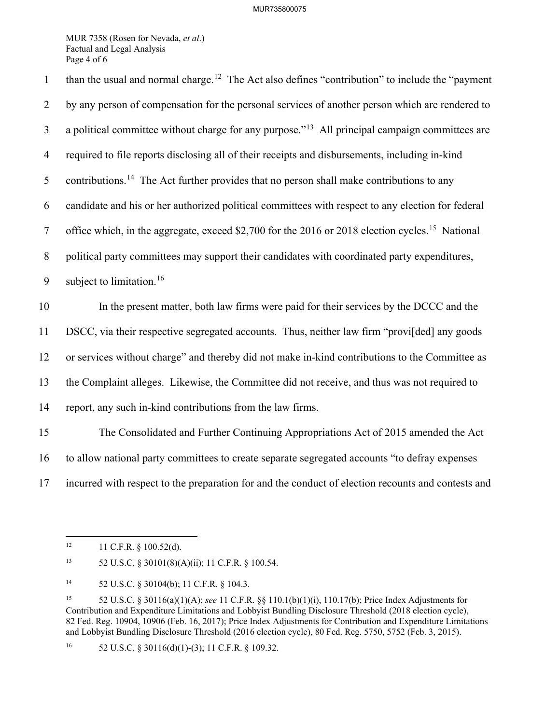MUR 7358 (Rosen for Nevada, *et al*.) Factual and Legal Analysis Page 4 of 6

than the usual and normal charge.<sup>[12](#page-4-0)</sup> The Act also defines "contribution" to include the "payment" 2 by any person of compensation for the personal services of another person which are rendered to  $\alpha$  a political committee without charge for any purpose.<sup> $13$ </sup> All principal campaign committees are 4 required to file reports disclosing all of their receipts and disbursements, including in-kind 5 contributions.<sup>[14](#page-4-2)</sup> The Act further provides that no person shall make contributions to any 6 candidate and his or her authorized political committees with respect to any election for federal 7 office which, in the aggregate, exceed \$2,700 for the 2016 or 2018 election cycles.<sup>[15](#page-4-3)</sup> National 8 political party committees may support their candidates with coordinated party expenditures, 9 subject to limitation.<sup>[16](#page-4-4)</sup> 10 In the present matter, both law firms were paid for their services by the DCCC and the 11 DSCC, via their respective segregated accounts. Thus, neither law firm "provi[ded] any goods 12 or services without charge" and thereby did not make in-kind contributions to the Committee as 13 the Complaint alleges. Likewise, the Committee did not receive, and thus was not required to 14 report, any such in-kind contributions from the law firms. 15 The Consolidated and Further Continuing Appropriations Act of 2015 amended the Act 16 to allow national party committees to create separate segregated accounts "to defray expenses 17 incurred with respect to the preparation for and the conduct of election recounts and contests and

<span id="page-4-0"></span> $12$  11 C.F.R. § 100.52(d).

<span id="page-4-1"></span><sup>13 52</sup> U.S.C. § 30101(8)(A)(ii); 11 C.F.R. § 100.54.

<span id="page-4-2"></span><sup>14 52</sup> U.S.C. § 30104(b); 11 C.F.R. § 104.3.

<span id="page-4-3"></span><sup>15 52</sup> U.S.C. § 30116(a)(1)(A); *see* 11 C.F.R. §§ 110.1(b)(1)(i), 110.17(b); Price Index Adjustments for Contribution and Expenditure Limitations and Lobbyist Bundling Disclosure Threshold (2018 election cycle), 82 Fed. Reg. 10904, 10906 (Feb. 16, 2017); Price Index Adjustments for Contribution and Expenditure Limitations and Lobbyist Bundling Disclosure Threshold (2016 election cycle), 80 Fed. Reg. 5750, 5752 (Feb. 3, 2015).

<span id="page-4-4"></span><sup>&</sup>lt;sup>16</sup> 52 U.S.C. § 30116(d)(1)-(3); 11 C.F.R. § 109.32.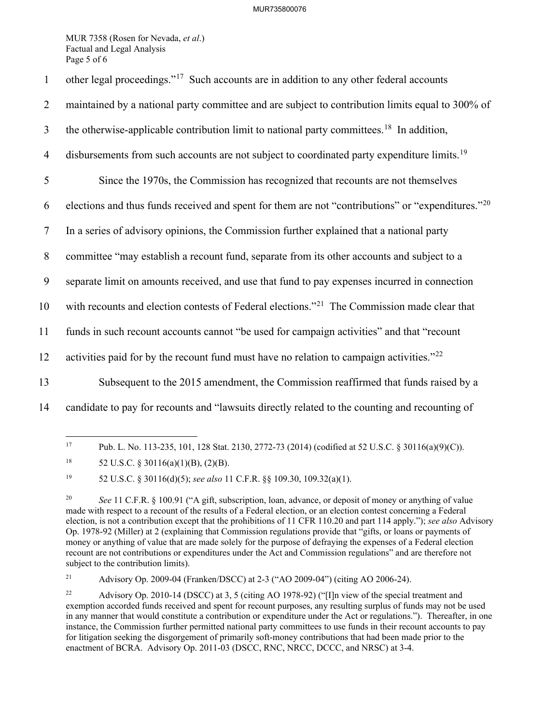## MUR735800076

MUR 7358 (Rosen for Nevada, *et al*.) Factual and Legal Analysis Page 5 of 6

| $\mathbf{1}$   | other legal proceedings." <sup>17</sup> Such accounts are in addition to any other federal accounts           |
|----------------|---------------------------------------------------------------------------------------------------------------|
| 2              | maintained by a national party committee and are subject to contribution limits equal to 300% of              |
| $\mathfrak{Z}$ | the otherwise-applicable contribution limit to national party committees. <sup>18</sup> In addition,          |
| $\overline{4}$ | disbursements from such accounts are not subject to coordinated party expenditure limits. <sup>19</sup>       |
| 5              | Since the 1970s, the Commission has recognized that recounts are not themselves                               |
| 6              | elections and thus funds received and spent for them are not "contributions" or "expenditures." <sup>20</sup> |
| $\tau$         | In a series of advisory opinions, the Commission further explained that a national party                      |
| 8              | committee "may establish a recount fund, separate from its other accounts and subject to a                    |
| 9              | separate limit on amounts received, and use that fund to pay expenses incurred in connection                  |
| 10             | with recounts and election contests of Federal elections." <sup>21</sup> The Commission made clear that       |
| 11             | funds in such recount accounts cannot "be used for campaign activities" and that "recount                     |
| 12             | activities paid for by the recount fund must have no relation to campaign activities." $^{22}$                |
| 13             | Subsequent to the 2015 amendment, the Commission reaffirmed that funds raised by a                            |
| 14             | candidate to pay for recounts and "lawsuits directly related to the counting and recounting of                |
|                |                                                                                                               |

<span id="page-5-0"></span><sup>17</sup> Pub. L. No. 113-235, 101, 128 Stat. 2130, 2772-73 (2014) (codified at 52 U.S.C. § 30116(a)(9)(C)).

<span id="page-5-2"></span>19 52 U.S.C. § 30116(d)(5); *see also* 11 C.F.R. §§ 109.30, 109.32(a)(1).

<span id="page-5-4"></span>21 Advisory Op. 2009-04 (Franken/DSCC) at 2-3 ("AO 2009-04") (citing AO 2006-24).

<span id="page-5-1"></span><sup>&</sup>lt;sup>18</sup> 52 U.S.C. § 30116(a)(1)(B), (2)(B).

<span id="page-5-3"></span><sup>&</sup>lt;sup>20</sup> *See* 11 C.F.R. § 100.91 ("A gift, subscription, loan, advance, or deposit of money or anything of value made with respect to a recount of the results of a Federal election, or an election contest concerning a Federal election, is not a contribution except that the prohibitions of 11 CFR 110.20 and part 114 apply."); *see also* Advisory Op. 1978-92 (Miller) at 2 (explaining that Commission regulations provide that "gifts, or loans or payments of money or anything of value that are made solely for the purpose of defraying the expenses of a Federal election recount are not contributions or expenditures under the Act and Commission regulations" and are therefore not subject to the contribution limits).

<span id="page-5-5"></span><sup>22</sup> Advisory Op. 2010-14 (DSCC) at 3, 5 (citing AO 1978-92) ("[I]n view of the special treatment and exemption accorded funds received and spent for recount purposes, any resulting surplus of funds may not be used in any manner that would constitute a contribution or expenditure under the Act or regulations."). Thereafter, in one instance, the Commission further permitted national party committees to use funds in their recount accounts to pay for litigation seeking the disgorgement of primarily soft-money contributions that had been made prior to the enactment of BCRA. Advisory Op. 2011-03 (DSCC, RNC, NRCC, DCCC, and NRSC) at 3-4.